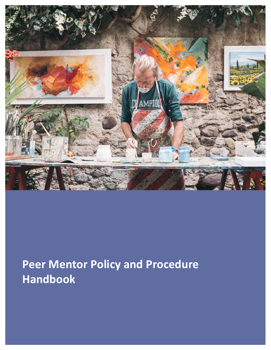

# **Peer Mentor Policy and Procedure Handbook**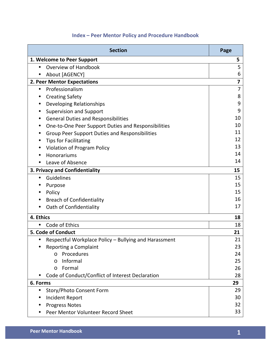# **Index – Peer Mentor Policy and Procedure Handbook**

| <b>Section</b>                                                     | Page                    |
|--------------------------------------------------------------------|-------------------------|
| 1. Welcome to Peer Support                                         | 5                       |
| <b>Overview of Handbook</b><br>$\bullet$                           | 5                       |
| About [AGENCY]                                                     | 6                       |
| 2. Peer Mentor Expectations                                        | $\overline{\mathbf{z}}$ |
| Professionalism<br>$\bullet$                                       | $\overline{7}$          |
| <b>Creating Safety</b>                                             | 8                       |
| <b>Developing Relationships</b><br>٠                               | 9                       |
| <b>Supervision and Support</b><br>٠                                | 9                       |
| <b>General Duties and Responsibilities</b><br>٠                    | 10                      |
| One-to-One Peer Support Duties and Responsibilities                | 10                      |
| <b>Group Peer Support Duties and Responsibilities</b><br>٠         | 11                      |
| <b>Tips for Facilitating</b>                                       | 12                      |
| <b>Violation of Program Policy</b>                                 | 13                      |
| Honorariums                                                        | 14                      |
| Leave of Absence                                                   | 14                      |
| 3. Privacy and Confidentiality                                     | 15                      |
| Guidelines<br>$\bullet$                                            | 15                      |
| Purpose                                                            | 15                      |
| Policy                                                             | 15                      |
| <b>Breach of Confidentiality</b>                                   | 16                      |
| Oath of Confidentiality                                            | 17                      |
| 4. Ethics                                                          | 18                      |
| Code of Ethics<br>$\bullet$                                        | 18                      |
| 5. Code of Conduct                                                 | 21                      |
| Respectful Workplace Policy - Bullying and Harassment<br>$\bullet$ | 21                      |
| Reporting a Complaint                                              | 23                      |
| Procedures<br>$\Omega$                                             | 24                      |
| Informal<br>$\Omega$                                               | 25                      |
| Formal<br>$\circ$                                                  | 26                      |
| Code of Conduct/Conflict of Interest Declaration                   | 28                      |
| 6. Forms                                                           | 29                      |
| Story/Photo Consent Form<br>$\bullet$                              | 29                      |
| <b>Incident Report</b>                                             | 30                      |
| <b>Progress Notes</b>                                              | 32                      |
| Peer Mentor Volunteer Record Sheet                                 | 33                      |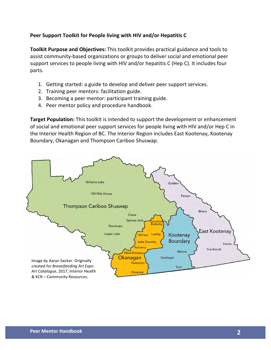## Peer Support Toolkit for People living with HIV and/or Hepatitis C

**Toolkit Purpose and Objectives:** This toolkit provides practical guidance and tools to assist community-based organizations or groups to deliver social and emotional peer support services to people living with HIV and/or hepatitis C (Hep C). It includes four parts.

- 1. Getting started: a guide to develop and deliver peer support services.
- 2. Training peer mentors: facilitation guide.
- 3. Becoming a peer mentor: participant training guide.
- 4. Peer mentor policy and procedure handbook.

**Target Population:** This toolkit is intended to support the development or enhancement of social and emotional peer support services for people living with HIV and/or Hep C in the Interior Health Region of BC. The Interior Region includes East Kootenay, Kootenay Boundary, Okanagan and Thompson Cariboo Shuswap.

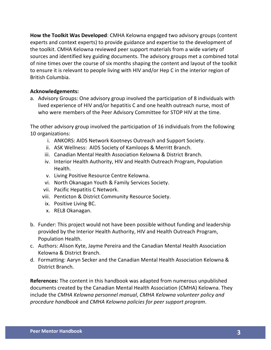**How the Toolkit Was Developed:** CMHA Kelowna engaged two advisory groups (content experts and context experts) to provide guidance and expertise to the development of the toolkit. CMHA Kelowna reviewed peer support materials from a wide variety of sources and identified key guiding documents. The advisory groups met a combined total of nine times over the course of six months shaping the content and layout of the toolkit to ensure it is relevant to people living with HIV and/or Hep C in the interior region of British Columbia.

## **Acknowledgements:**

a. Advisory Groups: One advisory group involved the participation of 8 individuals with lived experience of HIV and/or hepatitis C and one health outreach nurse, most of who were members of the Peer Advisory Committee for STOP HIV at the time.

The other advisory group involved the participation of 16 individuals from the following 10 organizations:

- i. ANKORS: AIDS Network Kootneys Outreach and Support Society.
- ii. ASK Wellness: AIDS Society of Kamloops & Merritt Branch.
- iii. Canadian Mental Health Association Kelowna & District Branch.
- iv. Interior Health Authority, HIV and Health Outreach Program, Population Health.
- v. Living Positive Resource Centre Kelowna.
- vi. North Okanagan Youth & Family Services Society.
- vii. Pacific Hepatitis C Network.
- viii. Penticton & District Community Resource Society.
- ix. Positive Living BC.
- x. REL8 Okanagan.
- b. Funder: This project would not have been possible without funding and leadership provided by the Interior Health Authority, HIV and Health Outreach Program, Population Health.
- c. Authors: Alison Kyte, Jayme Pereira and the Canadian Mental Health Association Kelowna & District Branch.
- d. Formatting: Aaryn Secker and the Canadian Mental Health Association Kelowna & District Branch.

**References:** The content in this handbook was adapted from numerous unpublished documents created by the Canadian Mental Health Association (CMHA) Kelowna. They include the *CMHA Kelowna personnel manual, CMHA Kelowna volunteer policy and procedure handbook* and *CMHA Kelowna policies for peer support program*.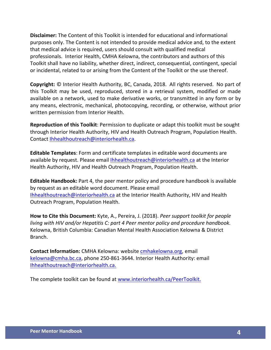**Disclaimer:** The Content of this Toolkit is intended for educational and informational purposes only. The Content is not intended to provide medical advice and, to the extent that medical advice is required, users should consult with qualified medical professionals. Interior Health, CMHA Kelowna, the contributors and authors of this Toolkit shall have no liability, whether direct, indirect, consequential, contingent, special or incidental, related to or arising from the Content of the Toolkit or the use thereof.

**Copyright:** © Interior Health Authority, BC, Canada, 2018. All rights reserved. No part of this Toolkit may be used, reproduced, stored in a retrieval system, modified or made available on a network, used to make derivative works, or transmitted in any form or by any means, electronic, mechanical, photocopying, recording, or otherwise, without prior written permission from Interior Health.

**Reproduction of this Toolkit:** Permission to duplicate or adapt this toolkit must be sought through Interior Health Authority, HIV and Health Outreach Program, Population Health. Contact Ihhealthoutreach@interiorhealth.ca.

**Editable Templates:** Form and certificate templates in editable word documents are available by request. Please email Ihhealthoutreach@interiorhealth.ca at the Interior Health Authority, HIV and Health Outreach Program, Population Health.

**Editable Handbook:** Part 4, the peer mentor policy and procedure handbook is available by request as an editable word document. Please email Ihhealthoutreach@interiorhealth.ca at the Interior Health Authority, HIV and Health Outreach Program, Population Health.

**How to Cite this Document:** Kyte, A., Pereira, J. (2018). *Peer support toolkit for people living* with HIV and/or Hepatitis C: part 4 Peer mentor policy and procedure handbook. Kelowna, British Columbia: Canadian Mental Health Association Kelowna & District Branch.

**Contact Information:** CMHA Kelowna: website cmhakelowna.org, email kelowna@cmha.bc.ca, phone 250-861-3644. Interior Health Authority: email Ihhealthoutreach@interiorhealth.ca. 

The complete toolkit can be found at www.interiorhealth.ca/PeerToolkit.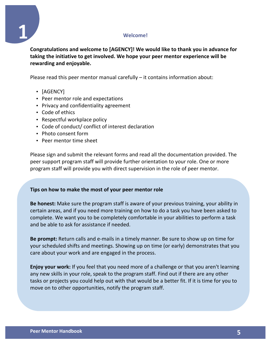## **Welcome!**



Congratulations and welcome to [AGENCY]! We would like to thank you in advance for taking the initiative to get involved. We hope your peer mentor experience will be rewarding and enjoyable.

Please read this peer mentor manual carefully  $-$  it contains information about:

- [AGENCY]
- Peer mentor role and expectations
- Privacy and confidentiality agreement
- Code of ethics
- Respectful workplace policy
- Code of conduct/ conflict of interest declaration
- Photo consent form
- Peer mentor time sheet

Please sign and submit the relevant forms and read all the documentation provided. The peer support program staff will provide further orientation to your role. One or more program staff will provide you with direct supervision in the role of peer mentor.

## **Tips on how to make the most of your peer mentor role**

**Be honest:** Make sure the program staff is aware of your previous training, your ability in certain areas, and if you need more training on how to do a task you have been asked to complete. We want you to be completely comfortable in your abilities to perform a task and be able to ask for assistance if needed.

Be prompt: Return calls and e-mails in a timely manner. Be sure to show up on time for your scheduled shifts and meetings. Showing up on time (or early) demonstrates that you care about your work and are engaged in the process.

**Enjoy your work:** If you feel that you need more of a challenge or that you aren't learning any new skills in your role, speak to the program staff. Find out if there are any other tasks or projects you could help out with that would be a better fit. If it is time for you to move on to other opportunities, notify the program staff.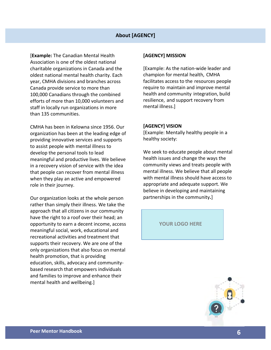## **About [AGENCY]**

**[Example: The Canadian Mental Health** Association is one of the oldest national charitable organizations in Canada and the oldest national mental health charity. Each year, CMHA divisions and branches across Canada provide service to more than 100,000 Canadians through the combined efforts of more than 10,000 volunteers and staff in locally run organizations in more than 135 communities.

CMHA has been in Kelowna since 1956. Our organization has been at the leading edge of providing innovative services and supports to assist people with mental illness to develop the personal tools to lead meaningful and productive lives. We believe in a recovery vision of service with the idea that people can recover from mental illness when they play an active and empowered role in their journey.

Our organization looks at the whole person rather than simply their illness. We take the approach that all citizens in our community have the right to a roof over their head; an opportunity to earn a decent income, access meaningful social, work, educational and recreational activities and treatment that supports their recovery. We are one of the only organizations that also focus on mental health promotion, that is providing education, skills, advocacy and communitybased research that empowers individuals and families to improve and enhance their mental health and wellbeing.]

#### **[AGENCY] MISSION**

[Example: As the nation-wide leader and champion for mental health, CMHA facilitates access to the resources people require to maintain and improve mental health and community integration, build resilience, and support recovery from mental illness.]

#### **[AGENCY] VISION**

[Example: Mentally healthy people in a healthy society:

We seek to educate people about mental health issues and change the ways the community views and treats people with mental illness. We believe that all people with mental illness should have access to appropriate and adequate support. We believe in developing and maintaining partnerships in the community.]

YOUR LOGO HERE

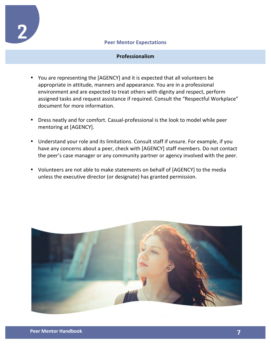

1

#### **Peer Mentor Expectations**

## **Professionalism**

- You are representing the [AGENCY] and it is expected that all volunteers be appropriate in attitude, manners and appearance. You are in a professional environment and are expected to treat others with dignity and respect, perform assigned tasks and request assistance if required. Consult the "Respectful Workplace" document for more information.
- Dress neatly and for comfort. Casual-professional is the look to model while peer mentoring at [AGENCY].
- Understand your role and its limitations. Consult staff if unsure. For example, if you have any concerns about a peer, check with [AGENCY] staff members. Do not contact the peer's case manager or any community partner or agency involved with the peer.
- Volunteers are not able to make statements on behalf of [AGENCY] to the media unless the executive director (or designate) has granted permission.

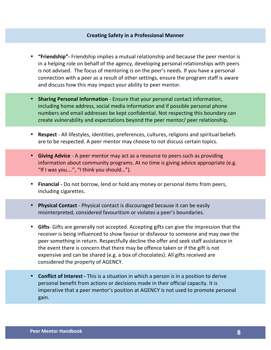#### **Creating Safety in a Professional Manner**

- **"Friendship"** Friendship implies a mutual relationship and because the peer mentor is in a helping role on behalf of the agency, developing personal relationships with peers is not advised. The focus of mentoring is on the peer's needs. If you have a personal connection with a peer as a result of other settings, ensure the program staff is aware and discuss how this may impact your ability to peer mentor.
- Sharing Personal Information Ensure that your personal contact information, including home address, social media information and if possible personal phone numbers and email addresses be kept confidential. Not respecting this boundary can create vulnerability and expectations beyond the peer mentor/ peer relationship.
- **Respect** All lifestyles, identities, preferences, cultures, religions and spiritual beliefs are to be respected. A peer mentor may choose to not discuss certain topics.
- **Giving Advice** A peer mentor may act as a resource to peers such as providing information about community programs. At no time is giving advice appropriate (e.g. "If I was you....", "I think you should...").
- **Financial** Do not borrow, lend or hold any money or personal items from peers, including cigarettes.
- Physical Contact Physical contact is discouraged because it can be easily misinterpreted, considered favouritism or violates a peer's boundaries.
- **Gifts** Gifts are generally not accepted. Accepting gifts can give the impression that the receiver is being influenced to show favour or disfavour to someone and may owe the peer something in return. Respectfully decline the offer and seek staff assistance in the event there is concern that there may be offence taken or if the gift is not expensive and can be shared (e.g. a box of chocolates). All gifts received are considered the property of AGENCY.
- **Conflict of Interest** This is a situation in which a person is in a position to derive personal benefit from actions or decisions made in their official capacity. It is imperative that a peer mentor's position at AGENCY is not used to promote personal gain.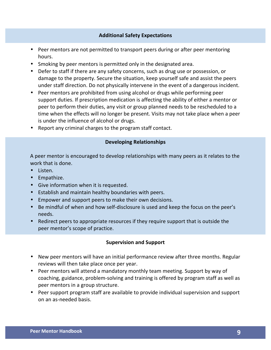## **Additional Safety Expectations**

- Peer mentors are not permitted to transport peers during or after peer mentoring hours.
- Smoking by peer mentors is permitted only in the designated area.
- Defer to staff if there are any safety concerns, such as drug use or possession, or damage to the property. Secure the situation, keep yourself safe and assist the peers under staff direction. Do not physically intervene in the event of a dangerous incident.
- Peer mentors are prohibited from using alcohol or drugs while performing peer support duties. If prescription medication is affecting the ability of either a mentor or peer to perform their duties, any visit or group planned needs to be rescheduled to a time when the effects will no longer be present. Visits may not take place when a peer is under the influence of alcohol or drugs.
- Report any criminal charges to the program staff contact.

## **Developing Relationships**

A peer mentor is encouraged to develop relationships with many peers as it relates to the work that is done.

- Listen.
- Empathize.
- Give information when it is requested.
- Establish and maintain healthy boundaries with peers.
- Empower and support peers to make their own decisions.
- Be mindful of when and how self-disclosure is used and keep the focus on the peer's needs.
- Redirect peers to appropriate resources if they require support that is outside the peer mentor's scope of practice.

## **Supervision and Support**

- New peer mentors will have an initial performance review after three months. Regular reviews will then take place once per year.
- Peer mentors will attend a mandatory monthly team meeting. Support by way of coaching, guidance, problem-solving and training is offered by program staff as well as peer mentors in a group structure.
- Peer support program staff are available to provide individual supervision and support on an as-needed basis.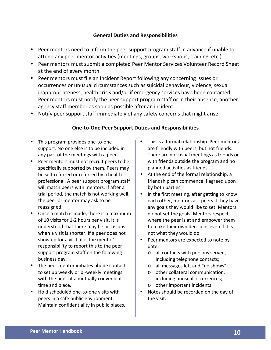## **General Duties and Responsibilities**

- Peer mentors need to inform the peer support program staff in advance if unable to attend any peer mentor activities (meetings, groups, workshops, training, etc.).
- Peer mentors must submit a completed Peer Mentor Services Volunteer Record Sheet at the end of every month.
- Peer mentors must file an Incident Report following any concerning issues or occurrences or unusual circumstances such as suicidal behaviour, violence, sexual inappropriateness, health crisis and/or if emergency services have been contacted. Peer mentors must notify the peer support program staff or in their absence, another agency staff member as soon as possible after an incident.
- Notify peer support staff immediately of any safety concerns that might arise.

## **One-to-One Peer Support Duties and Responsibilities**

- This program provides one-to-one support. No one else is to be included in any part of the meetings with a peer.
- Peer mentors must not recruit peers to be specifically supported by them. Peers may be self-referred or referred by a health professional. A peer support program staff will match peers with mentors. If after a trial period, the match is not working well, the peer or mentor may ask to be reassigned.
- Once a match is made, there is a maximum of 10 visits for 1-2 hours per visit. It is understood that there may be occasions when a visit is shorter. If a peer does not show up for a visit, it is the mentor's responsibility to report this to the peer support program staff on the following business day.
- The peer mentor initiates phone contact to set up weekly or bi-weekly meetings with the peer at a mutually convenient time and place.
- Hold scheduled one-to-one visits with peers in a safe public environment. Maintain confidentiality in public places.
- This is a formal relationship. Peer mentors are friendly with peers, but not friends. There are no casual meetings as friends or with friends outside the program and no planned activities as friends.
- At the end of the formal relationship, a friendship can commence if agreed upon by both parties.
- In the first meeting, after getting to know each other, mentors ask peers if they have any goals they would like to set. Mentors do not set the goals. Mentors respect where the peer is at and empower them to make their own decisions even if it is not what they would do.
- Peer mentors are expected to note by date:
	- o all contacts with persons served, including telephone contacts;
	- o all messages left and "no shows";
	- o other collateral communication, including unusual occurrences;
	- $\circ$  other important incidents.
- Notes should be recorded on the day of the visit.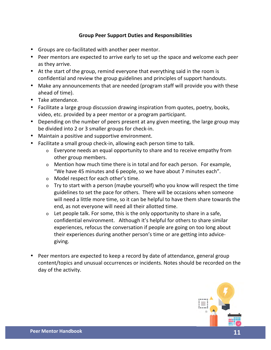## **Group Peer Support Duties and Responsibilities**

- Groups are co-facilitated with another peer mentor.
- Peer mentors are expected to arrive early to set up the space and welcome each peer as they arrive.
- At the start of the group, remind everyone that everything said in the room is confidential and review the group guidelines and principles of support handouts.
- Make any announcements that are needed (program staff will provide you with these ahead of time).
- Take attendance.
- Facilitate a large group discussion drawing inspiration from quotes, poetry, books, video, etc. provided by a peer mentor or a program participant.
- Depending on the number of peers present at any given meeting, the large group may be divided into 2 or 3 smaller groups for check-in.
- Maintain a positive and supportive environment.
- Facilitate a small group check-in, allowing each person time to talk.
	- $\circ$  Everyone needs an equal opportunity to share and to receive empathy from other group members.
	- $\circ$  Mention how much time there is in total and for each person. For example, "We have 45 minutes and 6 people, so we have about 7 minutes each".
	- o Model respect for each other's time.
	- $\circ$  Try to start with a person (maybe yourself) who you know will respect the time guidelines to set the pace for others. There will be occasions when someone will need a little more time, so it can be helpful to have them share towards the end, as not everyone will need all their allotted time.
	- $\circ$  Let people talk. For some, this is the only opportunity to share in a safe, confidential environment. Although it's helpful for others to share similar experiences, refocus the conversation if people are going on too long about their experiences during another person's time or are getting into advicegiving.
- Peer mentors are expected to keep a record by date of attendance, general group content/topics and unusual occurrences or incidents. Notes should be recorded on the day of the activity.

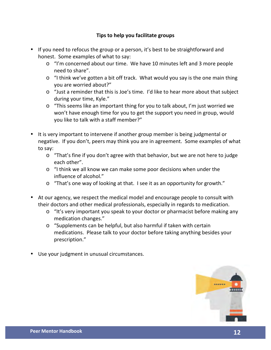## **Tips to help you facilitate groups**

- If you need to refocus the group or a person, it's best to be straightforward and honest. Some examples of what to say:
	- o "I'm concerned about our time. We have 10 minutes left and 3 more people need to share".
	- $\circ$  "I think we've gotten a bit off track. What would you say is the one main thing you are worried about?"
	- $\circ$  "Just a reminder that this is Joe's time. I'd like to hear more about that subject during your time, Kyle."
	- $\circ$  "This seems like an important thing for you to talk about, I'm just worried we won't have enough time for you to get the support you need in group, would you like to talk with a staff member?"
- It is very important to intervene if another group member is being judgmental or negative. If you don't, peers may think you are in agreement. Some examples of what to say:
	- $\circ$  "That's fine if you don't agree with that behavior, but we are not here to judge each other".
	- $\circ$  "I think we all know we can make some poor decisions when under the influence of alcohol."
	- $\circ$  "That's one way of looking at that. I see it as an opportunity for growth."
- At our agency, we respect the medical model and encourage people to consult with their doctors and other medical professionals, especially in regards to medication.
	- o "It's very important you speak to your doctor or pharmacist before making any medication changes."
	- $\circ$  "Supplements can be helpful, but also harmful if taken with certain medications. Please talk to your doctor before taking anything besides your prescription."
- Use your judgment in unusual circumstances.

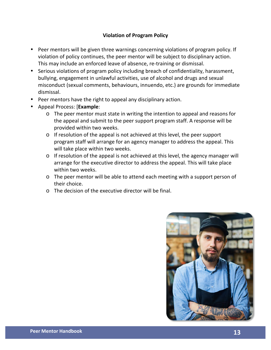## **Violation of Program Policy**

- Peer mentors will be given three warnings concerning violations of program policy. If violation of policy continues, the peer mentor will be subject to disciplinary action. This may include an enforced leave of absence, re-training or dismissal.
- Serious violations of program policy including breach of confidentiality, harassment, bullying, engagement in unlawful activities, use of alcohol and drugs and sexual misconduct (sexual comments, behaviours, innuendo, etc.) are grounds for immediate dismissal.
- Peer mentors have the right to appeal any disciplinary action.
- Appeal Process: [**Example**:
	- o The peer mentor must state in writing the intention to appeal and reasons for the appeal and submit to the peer support program staff. A response will be provided within two weeks.
	- $\circ$  If resolution of the appeal is not achieved at this level, the peer support program staff will arrange for an agency manager to address the appeal. This will take place within two weeks.
	- $\circ$  If resolution of the appeal is not achieved at this level, the agency manager will arrange for the executive director to address the appeal. This will take place within two weeks.
	- o The peer mentor will be able to attend each meeting with a support person of their choice.
	- $\circ$  The decision of the executive director will be final.

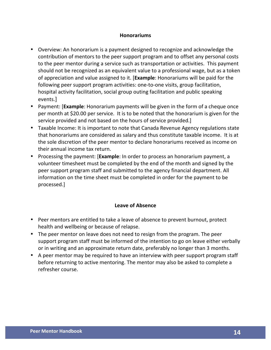## **Honorariums**

- Overview: An honorarium is a payment designed to recognize and acknowledge the contribution of mentors to the peer support program and to offset any personal costs to the peer mentor during a service such as transportation or activities. This payment should not be recognized as an equivalent value to a professional wage, but as a token of appreciation and value assigned to it. [**Example**: Honorariums will be paid for the following peer support program activities: one-to-one visits, group facilitation, hospital activity facilitation, social group outing facilitation and public speaking events.]
- Payment: [**Example**: Honorarium payments will be given in the form of a cheque once per month at \$20.00 per service. It is to be noted that the honorarium is given for the service provided and not based on the hours of service provided.]
- Taxable Income: It is important to note that Canada Revenue Agency regulations state that honorariums are considered as salary and thus constitute taxable income. It is at the sole discretion of the peer mentor to declare honorariums received as income on their annual income tax return.
- Processing the payment: [**Example**: In order to process an honorarium payment, a volunteer timesheet must be completed by the end of the month and signed by the peer support program staff and submitted to the agency financial department. All information on the time sheet must be completed in order for the payment to be processed.]

## Leave of Absence

- Peer mentors are entitled to take a leave of absence to prevent burnout, protect health and wellbeing or because of relapse.
- The peer mentor on leave does not need to resign from the program. The peer support program staff must be informed of the intention to go on leave either verbally or in writing and an approximate return date, preferably no longer than 3 months.
- A peer mentor may be required to have an interview with peer support program staff before returning to active mentoring. The mentor may also be asked to complete a refresher course.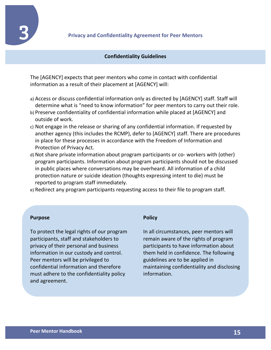

1

## **Confidentiality Guidelines**

The [AGENCY] expects that peer mentors who come in contact with confidential information as a result of their placement at [AGENCY] will:

- a) Access or discuss confidential information only as directed by [AGENCY] staff. Staff will determine what is "need to know information" for peer mentors to carry out their role.
- b) Preserve confidentiality of confidential information while placed at [AGENCY] and outside of work.
- c) Not engage in the release or sharing of any confidential information. If requested by another agency (this includes the RCMP), defer to [AGENCY] staff. There are procedures in place for these processes in accordance with the Freedom of Information and Protection of Privacy Act.
- d) Not share private information about program participants or co- workers with (other) program participants. Information about program participants should not be discussed in public places where conversations may be overheard. All information of a child protection nature or suicide ideation (thoughts expressing intent to die) must be reported to program staff immediately.

e) Redirect any program participants requesting access to their file to program staff.

#### **Purpose**

To protect the legal rights of our program participants, staff and stakeholders to privacy of their personal and business information in our custody and control. Peer mentors will be privileged to confidential information and therefore must adhere to the confidentiality policy and agreement.

#### **Policy**

In all circumstances, peer mentors will remain aware of the rights of program participants to have information about them held in confidence. The following guidelines are to be applied in maintaining confidentiality and disclosing information.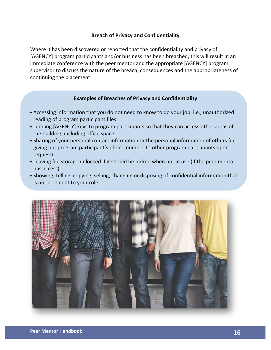## **Breach of Privacy and Confidentiality**

Where it has been discovered or reported that the confidentiality and privacy of [AGENCY] program participants and/or business has been breached, this will result in an immediate conference with the peer mentor and the appropriate [AGENCY] program supervisor to discuss the nature of the breach, consequences and the appropriateness of continuing the placement.

## **Examples of Breaches of Privacy and Confidentiality**

- Accessing information that you do not need to know to do your job, i.e., unauthorized reading of program participant files.
- Lending [AGENCY] keys to program participants so that they can access other areas of the building, including office space.
- Sharing of your personal contact information or the personal information of others (i.e. giving out program participant's phone number to other program participants upon request).
- Leaving file storage unlocked if it should be locked when not in use (if the peer mentor has access).
- Showing, telling, copying, selling, changing or disposing of confidential information that is not pertinent to your role.

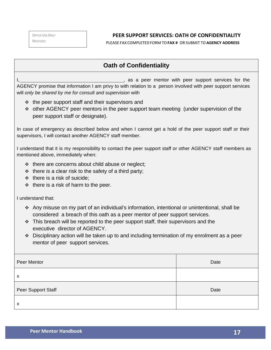OFFICE USE ONLY RECEIVED:

## **PEER SUPPORT SERVICES: OATH OF CONFIDENTIALITY**

PLEASE FAX COMPLETED FORM TO**FAX #** OR SUBMIT TO **AGENCY ADDRESS**

## **Oath of Confidentiality**

, as a peer mentor with peer support services for the AGENCY promise that information I am privy to with relation to a person involved with peer support services will *only be shared by me for consult and supervision* with

- $\cdot\cdot\cdot$  the peer support staff and their supervisors and
- $\cdot$  other AGENCY peer mentors in the peer support team meeting (under supervision of the peer support staff or designate).

In case of emergency as described below and when I cannot get a hold of the peer support staff or their supervisors, I will contact another AGENCY staff member.

I understand that it is my responsibility to contact the peer support staff or other AGENCY staff members as mentioned above, immediately when:

- $\div$  there are concerns about child abuse or neglect;
- $\div$  there is a clear risk to the safety of a third party;
- $\div$  there is a risk of suicide;
- $\div$  there is a risk of harm to the peer.

I understand that:

- v Any misuse on my part of an individual's information, intentional or unintentional, shall be considered a breach of this oath as a peer mentor of peer support services.
- $\cdot$  This breach will be reported to the peer support staff, their supervisors and the executive director of AGENCY.
- $\div$  Disciplinary action will be taken up to and including termination of my enrolment as a peer mentor of peer support services.

| Peer Mentor        | Date |
|--------------------|------|
| X                  |      |
| Peer Support Staff | Date |
| X                  |      |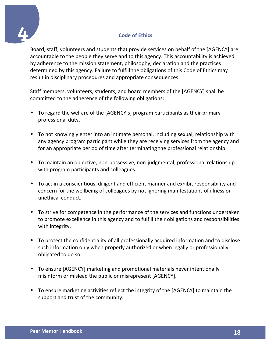

Board, staff, volunteers and students that provide services on behalf of the [AGENCY] are accountable to the people they serve and to this agency. This accountability is achieved by adherence to the mission statement, philosophy, declaration and the practices determined by this agency. Failure to fulfill the obligations of this Code of Ethics may result in disciplinary procedures and appropriate consequences.

Staff members, volunteers, students, and board members of the [AGENCY] shall be committed to the adherence of the following obligations:

- To regard the welfare of the [AGENCY's] program participants as their primary professional duty.
- To not knowingly enter into an intimate personal, including sexual, relationship with any agency program participant while they are receiving services from the agency and for an appropriate period of time after terminating the professional relationship.
- To maintain an objective, non-possessive, non-judgmental, professional relationship with program participants and colleagues.
- To act in a conscientious, diligent and efficient manner and exhibit responsibility and concern for the wellbeing of colleagues by not ignoring manifestations of illness or unethical conduct.
- To strive for competence in the performance of the services and functions undertaken to promote excellence in this agency and to fulfill their obligations and responsibilities with integrity.
- To protect the confidentiality of all professionally acquired information and to disclose such information only when properly authorized or when legally or professionally obligated to do so.
- To ensure [AGENCY] marketing and promotional materials never intentionally misinform or mislead the public or misrepresent [AGENCY].
- To ensure marketing activities reflect the integrity of the [AGENCY] to maintain the support and trust of the community.

4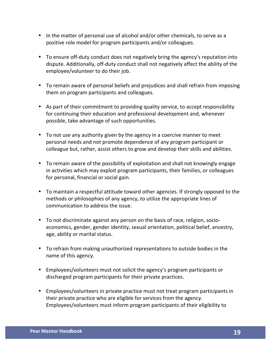- In the matter of personal use of alcohol and/or other chemicals, to serve as a positive role model for program participants and/or colleagues.
- To ensure off-duty conduct does not negatively bring the agency's reputation into dispute. Additionally, off-duty conduct shall not negatively affect the ability of the employee/volunteer to do their job.
- To remain aware of personal beliefs and prejudices and shall refrain from imposing them on program participants and colleagues.
- As part of their commitment to providing quality service, to accept responsibility for continuing their education and professional development and, whenever possible, take advantage of such opportunities.
- To not use any authority given by the agency in a coercive manner to meet personal needs and not promote dependence of any program participant or colleague but, rather, assist others to grow and develop their skills and abilities.
- To remain aware of the possibility of exploitation and shall not knowingly engage in activities which may exploit program participants, their families, or colleagues for personal, financial or social gain.
- To maintain a respectful attitude toward other agencies. If strongly opposed to the methods or philosophies of any agency, to utilize the appropriate lines of communication to address the issue.
- To not discriminate against any person on the basis of race, religion, socioeconomics, gender, gender identity, sexual orientation, political belief, ancestry, age, ability or marital status.
- To refrain from making unauthorized representations to outside bodies in the name of this agency.
- Employees/volunteers must not solicit the agency's program participants or discharged program participants for their private practices.
- Employees/volunteers in private practice must not treat program participants in their private practice who are eligible for services from the agency. Employees/volunteers must inform program participants of their eligibility to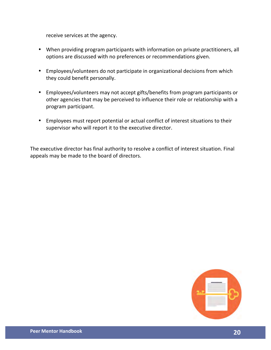receive services at the agency.

- When providing program participants with information on private practitioners, all options are discussed with no preferences or recommendations given.
- Employees/volunteers do not participate in organizational decisions from which they could benefit personally.
- Employees/volunteers may not accept gifts/benefits from program participants or other agencies that may be perceived to influence their role or relationship with a program participant.
- Employees must report potential or actual conflict of interest situations to their supervisor who will report it to the executive director.

The executive director has final authority to resolve a conflict of interest situation. Final appeals may be made to the board of directors.

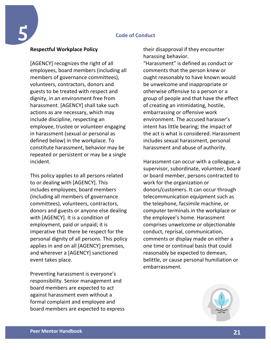## **Code of Conduct**

## **Respectful Workplace Policy**

5

[AGENCY] recognizes the right of all employees, board members (including all members of governance committees), volunteers, contractors, donors and guests to be treated with respect and dignity, in an environment free from harassment. [AGENCY] shall take such actions as are necessary, which may include discipline, respecting an employee, trustee or volunteer engaging in harassment (sexual or personal as defined below) in the workplace. To constitute harassment, behavior may be repeated or persistent or may be a single incident.

This policy applies to all persons related to or dealing with [AGENCY]. This includes employees, board members (including all members of governance committees), volunteers, contractors, donors and guests or anyone else dealing with [AGENCY]. It is a condition of employment, paid or unpaid; it is imperative that there be respect for the personal dignity of all persons. This policy applies in and on all [AGENCY] premises, and wherever a [AGENCY] sanctioned event takes place.

Preventing harassment is everyone's responsibility. Senior management and board members are expected to act against harassment even without a formal complaint and employee and board members are expected to express their disapproval if they encounter harassing behavior. "Harassment" is defined as conduct or comments that the person knew or ought reasonably to have known would be unwelcome and inappropriate or otherwise offensive to a person or a group of people and that have the effect of creating an intimidating, hostile, embarrassing or offensive work environment. The accused harasser's intent has little bearing; the impact of the act is what is considered. Harassment includes sexual harassment, personal harassment and abuse of authority.

Harassment can occur with a colleague, a supervisor, subordinate, volunteer, board or board member, persons contracted to work for the organization or donors/customers. It can occur through telecommunication equipment such as the telephone, facsimile machine, or computer terminals in the workplace or the employee's home. Harassment comprises unwelcome or objectionable conduct, reprisal, communication, comments or display made on either a one time or continual basis that could reasonably be expected to demean, belittle, or cause personal humiliation or embarrassment.

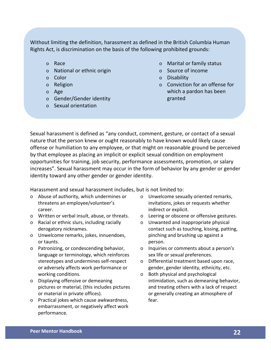Without limiting the definition, harassment as defined in the British Columbia Human Rights Act, is discrimination on the basis of the following prohibited grounds:

- o Race
- $\circ$  National or ethnic origin
- o Color
- o Religion
- o Age
- $\circ$  Gender/Gender identity
- o Sexual orientation
- $\circ$  Marital or family status
- o Source of income
- o Disability
- $\circ$  Conviction for an offense for which a pardon has been granted

Sexual harassment is defined as "any conduct, comment, gesture, or contact of a sexual nature that the person knew or ought reasonably to have known would likely cause offense or humiliation to any employee, or that might on reasonable ground be perceived by that employee as placing an implicit or explicit sexual condition on employment opportunities for training, job security, performance assessments, promotion, or salary increases". Sexual harassment may occur in the form of behavior by any gender or gender identity toward any other gender or gender identity.

Harassment and sexual harassment includes, but is not limited to:

- o Abuse of authority, which undermines or threatens an employee/volunteer's career.
- o Written or verbal insult, abuse, or threats.
- $\circ$  Racial or ethnic slurs, including racially derogatory nicknames.
- o Unwelcome remarks, jokes, innuendoes, or taunts.
- $\circ$  Patronizing, or condescending behavior, language or terminology, which reinforces stereotypes and undermines self-respect or adversely affects work performance or working conditions.
- $\circ$  Displaying offensive or demeaning pictures or material, (this includes pictures or material in private offices).
- $\circ$  Practical jokes which cause awkwardness, embarrassment, or negatively affect work performance.
- o Unwelcome sexually oriented remarks, invitations, jokes or requests whether indirect or explicit.
- o Leering or obscene or offensive gestures.
- $\circ$  Unwanted and inappropriate physical contact such as touching, kissing, patting, pinching and brushing up against a person.
- o Inquiries or comments about a person's sex life or sexual preferences.
- o Differential treatment based upon race, gender, gender identity, ethnicity, etc.
- $\circ$  Both physical and psychological intimidation, such as demeaning behavior, and treating others with a lack of respect or generally creating an atmosphere of fear.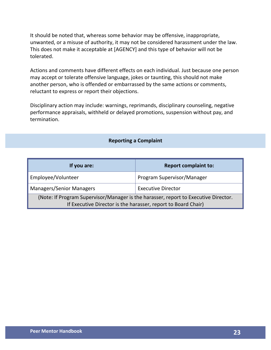It should be noted that, whereas some behavior may be offensive, inappropriate, unwanted, or a misuse of authority, it may not be considered harassment under the law. This does not make it acceptable at [AGENCY] and this type of behavior will not be tolerated.

Actions and comments have different effects on each individual. Just because one person may accept or tolerate offensive language, jokes or taunting, this should not make another person, who is offended or embarrassed by the same actions or comments, reluctant to express or report their objections.

Disciplinary action may include: warnings, reprimands, disciplinary counseling, negative performance appraisals, withheld or delayed promotions, suspension without pay, and termination.

## **Reporting a Complaint**

| If you are:                                                                                                                                          | <b>Report complaint to:</b> |  |
|------------------------------------------------------------------------------------------------------------------------------------------------------|-----------------------------|--|
| Employee/Volunteer                                                                                                                                   | Program Supervisor/Manager  |  |
| <b>Managers/Senior Managers</b><br><b>Executive Director</b>                                                                                         |                             |  |
| (Note: If Program Supervisor/Manager is the harasser, report to Executive Director.<br>If Executive Director is the harasser, report to Board Chair) |                             |  |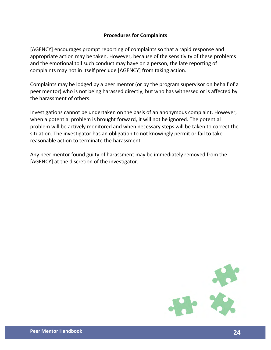## **Procedures for Complaints**

[AGENCY] encourages prompt reporting of complaints so that a rapid response and appropriate action may be taken. However, because of the sensitivity of these problems and the emotional toll such conduct may have on a person, the late reporting of complaints may not in itself preclude [AGENCY] from taking action.

Complaints may be lodged by a peer mentor (or by the program supervisor on behalf of a peer mentor) who is not being harassed directly, but who has witnessed or is affected by the harassment of others.

Investigations cannot be undertaken on the basis of an anonymous complaint. However, when a potential problem is brought forward, it will not be ignored. The potential problem will be actively monitored and when necessary steps will be taken to correct the situation. The investigator has an obligation to not knowingly permit or fail to take reasonable action to terminate the harassment.

Any peer mentor found guilty of harassment may be immediately removed from the [AGENCY] at the discretion of the investigator.

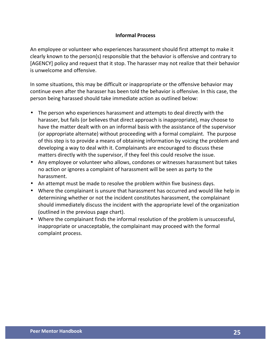## **Informal Process**

An employee or volunteer who experiences harassment should first attempt to make it clearly known to the person(s) responsible that the behavior is offensive and contrary to [AGENCY] policy and request that it stop. The harasser may not realize that their behavior is unwelcome and offensive.

In some situations, this may be difficult or inappropriate or the offensive behavior may continue even after the harasser has been told the behavior is offensive. In this case, the person being harassed should take immediate action as outlined below:

- The person who experiences harassment and attempts to deal directly with the harasser, but fails (or believes that direct approach is inappropriate), may choose to have the matter dealt with on an informal basis with the assistance of the supervisor (or appropriate alternate) without proceeding with a formal complaint. The purpose of this step is to provide a means of obtaining information by voicing the problem and developing a way to deal with it. Complainants are encouraged to discuss these matters directly with the supervisor, if they feel this could resolve the issue.
- Any employee or volunteer who allows, condones or witnesses harassment but takes no action or ignores a complaint of harassment will be seen as party to the harassment.
- An attempt must be made to resolve the problem within five business days.
- Where the complainant is unsure that harassment has occurred and would like help in determining whether or not the incident constitutes harassment, the complainant should immediately discuss the incident with the appropriate level of the organization (outlined in the previous page chart).
- Where the complainant finds the informal resolution of the problem is unsuccessful, inappropriate or unacceptable, the complainant may proceed with the formal complaint process.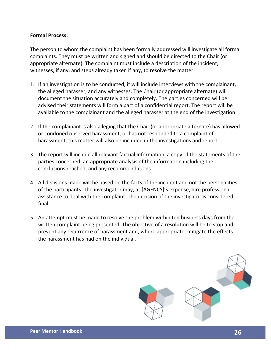## **Formal Process:**

The person to whom the complaint has been formally addressed will investigate all formal complaints. They must be written and signed and should be directed to the Chair (or appropriate alternate). The complaint must include a description of the incident, witnesses, if any, and steps already taken if any, to resolve the matter.

- 1. If an investigation is to be conducted, it will include interviews with the complainant, the alleged harasser, and any witnesses. The Chair (or appropriate alternate) will document the situation accurately and completely. The parties concerned will be advised their statements will form a part of a confidential report. The report will be available to the complainant and the alleged harasser at the end of the investigation.
- 2. If the complainant is also alleging that the Chair (or appropriate alternate) has allowed or condoned observed harassment, or has not responded to a complaint of harassment, this matter will also be included in the investigations and report.
- 3. The report will include all relevant factual information, a copy of the statements of the parties concerned, an appropriate analysis of the information including the conclusions reached, and any recommendations.
- 4. All decisions made will be based on the facts of the incident and not the personalities of the participants. The investigator may, at [AGENCY]'s expense, hire professional assistance to deal with the complaint. The decision of the investigator is considered final.
- 5. An attempt must be made to resolve the problem within ten business days from the written complaint being presented. The objective of a resolution will be to stop and prevent any recurrence of harassment and, where appropriate, mitigate the effects the harassment has had on the individual.

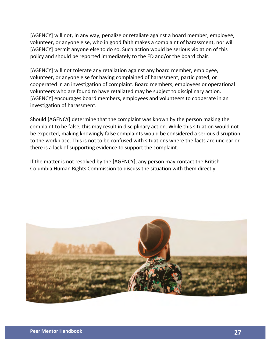[AGENCY] will not, in any way, penalize or retaliate against a board member, employee, volunteer, or anyone else, who in good faith makes a complaint of harassment, nor will [AGENCY] permit anyone else to do so. Such action would be serious violation of this policy and should be reported immediately to the ED and/or the board chair.

[AGENCY] will not tolerate any retaliation against any board member, employee, volunteer, or anyone else for having complained of harassment, participated, or cooperated in an investigation of complaint. Board members, employees or operational volunteers who are found to have retaliated may be subject to disciplinary action. [AGENCY] encourages board members, employees and volunteers to cooperate in an investigation of harassment.

Should [AGENCY] determine that the complaint was known by the person making the complaint to be false, this may result in disciplinary action. While this situation would not be expected, making knowingly false complaints would be considered a serious disruption to the workplace. This is not to be confused with situations where the facts are unclear or there is a lack of supporting evidence to support the complaint.

If the matter is not resolved by the [AGENCY], any person may contact the British Columbia Human Rights Commission to discuss the situation with them directly.

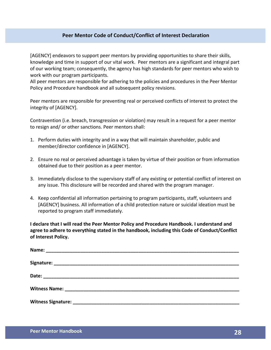## **Peer Mentor Code of Conduct/Conflict of Interest Declaration**

[AGENCY] endeavors to support peer mentors by providing opportunities to share their skills, knowledge and time in support of our vital work. Peer mentors are a significant and integral part of our working team; consequently, the agency has high standards for peer mentors who wish to work with our program participants.

All peer mentors are responsible for adhering to the policies and procedures in the Peer Mentor Policy and Procedure handbook and all subsequent policy revisions.

Peer mentors are responsible for preventing real or perceived conflicts of interest to protect the integrity of [AGENCY].

Contravention (i.e. breach, transgression or violation) may result in a request for a peer mentor to resign and/ or other sanctions. Peer mentors shall:

- 1. Perform duties with integrity and in a way that will maintain shareholder, public and member/director confidence in [AGENCY].
- 2. Ensure no real or perceived advantage is taken by virtue of their position or from information obtained due to their position as a peer mentor.
- 3. Immediately disclose to the supervisory staff of any existing or potential conflict of interest on any issue. This disclosure will be recorded and shared with the program manager.
- 4. Keep confidential all information pertaining to program participants, staff, volunteers and [AGENCY] business. All information of a child protection nature or suicidal ideation must be reported to program staff immediately.

**I** declare that I will read the Peer Mentor Policy and Procedure Handbook. I understand and agree to adhere to everything stated in the handbook, including this Code of Conduct/Conflict **of Interest Policy.**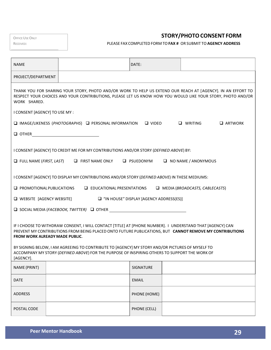| <b>OFFICE USE ONLY</b> |  |
|------------------------|--|
| RECEIVED:              |  |

**STORY/PHOTOCONSENT FORM**

PLEASE FAX COMPLETED FORM TO**FAX #** OR SUBMIT TO **AGENCY ADDRESS**

| <b>NAME</b>                                                                                                                                                                                                                                                                                                                                                                                                                                                                    |  |                                                                                               | DATE:                                     |                                       |
|--------------------------------------------------------------------------------------------------------------------------------------------------------------------------------------------------------------------------------------------------------------------------------------------------------------------------------------------------------------------------------------------------------------------------------------------------------------------------------|--|-----------------------------------------------------------------------------------------------|-------------------------------------------|---------------------------------------|
| PROJECT/DEPARTMENT                                                                                                                                                                                                                                                                                                                                                                                                                                                             |  |                                                                                               |                                           |                                       |
| THANK YOU FOR SHARING YOUR STORY, PHOTO AND/OR WORK TO HELP US EXTEND OUR REACH AT [AGENCY]. IN AN EFFORT TO<br>RESPECT YOUR CHOICES AND YOUR CONTRIBUTIONS, PLEASE LET US KNOW HOW YOU WOULD LIKE YOUR STORY, PHOTO AND/OR<br>WORK SHARED.                                                                                                                                                                                                                                    |  |                                                                                               |                                           |                                       |
| I CONSENT [AGENCY] TO USE MY :                                                                                                                                                                                                                                                                                                                                                                                                                                                 |  |                                                                                               |                                           |                                       |
|                                                                                                                                                                                                                                                                                                                                                                                                                                                                                |  | $\Box$ IMAGE/LIKENESS (PHOTOGRAPHS) $\Box$ PERSONAL INFORMATION                               | $\Box$ VIDEO                              | $\Box$ WRITING<br><b>Q</b> ARTWORK    |
| $\Box$ OTHER                                                                                                                                                                                                                                                                                                                                                                                                                                                                   |  | <u> 1980 - Andrea Andrew Maria (h. 1980).</u>                                                 |                                           |                                       |
| I CONSENT [AGENCY] TO CREDIT ME FOR MY CONTRIBUTIONS AND/OR STORY (DEFINED ABOVE) BY:<br>$\Box$ FULL NAME (FIRST, LAST) $\Box$ FIRST NAME ONLY<br>$\Box$ PSUEDONYM<br>$\Box$ NO NAME / ANONYMOUS                                                                                                                                                                                                                                                                               |  |                                                                                               |                                           |                                       |
|                                                                                                                                                                                                                                                                                                                                                                                                                                                                                |  | I CONSENT [AGENCY] TO DISPLAY MY CONTRIBUTIONS AND/OR STORY (DEFINED ABOVE) IN THESE MEDIUMS: |                                           |                                       |
| $\Box$ PROMOTIONAL PUBLICATIONS                                                                                                                                                                                                                                                                                                                                                                                                                                                |  | $\Box$ EDUCATIONAL PRESENTATIONS                                                              |                                           | $\Box$ MEDIA (BROADCASTS, CABLECASTS) |
| <b>U</b> WEBSITE [AGENCY WEBSITE]                                                                                                                                                                                                                                                                                                                                                                                                                                              |  |                                                                                               | □ "IN HOUSE" DISPLAY [AGENCY ADDRESS(ES)] |                                       |
|                                                                                                                                                                                                                                                                                                                                                                                                                                                                                |  | $\Box$ SOCIAL MEDIA ( <i>FACEBOOK, TWITTER</i> ) $\Box$ OTHER                                 |                                           |                                       |
| IF I CHOOSE TO WITHDRAW CONSENT, I WILL CONTACT [TITLE] AT [PHONE NUMBER]. I UNDERSTAND THAT [AGENCY] CAN<br>PREVENT MY CONTRIBUTIONS FROM BEING PLACED ONTO FUTURE PUBLICATIONS, BUT CANNOT REMOVE MY CONTRIBUTIONS<br><b>FROM WORK ALREADY MADE PUBLIC.</b><br>BY SIGNING BELOW, I AM AGREEING TO CONTRIBUTE TO [AGENCY] MY STORY AND/OR PICTURES OF MYSELF TO<br>ACCOMPANY MY STORY (DEFINED ABOVE) FOR THE PURPOSE OF INSPIRING OTHERS TO SUPPORT THE WORK OF<br>[AGENCY]. |  |                                                                                               |                                           |                                       |
| NAME (PRINT)                                                                                                                                                                                                                                                                                                                                                                                                                                                                   |  |                                                                                               | SIGNATURE                                 |                                       |
| DATE                                                                                                                                                                                                                                                                                                                                                                                                                                                                           |  |                                                                                               | <b>EMAIL</b>                              |                                       |
| ADDRESS                                                                                                                                                                                                                                                                                                                                                                                                                                                                        |  |                                                                                               | PHONE (HOME)                              |                                       |
| POSTAL CODE                                                                                                                                                                                                                                                                                                                                                                                                                                                                    |  |                                                                                               | PHONE (CELL)                              |                                       |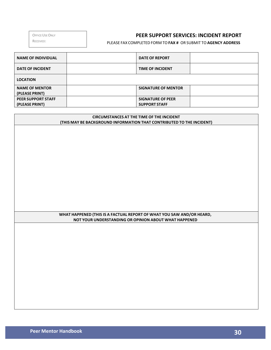OFFICE USE ONLY

## RECEIVED:

## **PEER SUPPORT SERVICES: INCIDENT REPORT**

PLEASE FAX COMPLETED FORM TO**FAX #** OR SUBMIT TO **AGENCY ADDRESS**

| <b>NAME OF INDIVIDUAL</b>               | <b>DATE OF REPORT</b>      |  |
|-----------------------------------------|----------------------------|--|
| <b>DATE OF INCIDENT</b>                 | <b>TIME OF INCIDENT</b>    |  |
| <b>LOCATION</b>                         |                            |  |
| <b>NAME OF MENTOR</b><br>(PLEASE PRINT) | <b>SIGNATURE OF MENTOR</b> |  |
| <b>PEER SUPPORT STAFF</b>               | <b>SIGNATURE OF PEER</b>   |  |
| (PLEASE PRINT)                          | <b>SUPPORT STAFF</b>       |  |

#### **CIRCUMSTANCES AT THE TIME OF THE INCIDENT (THIS MAY BE BACKGROUND INFORMATION THAT CONTRIBUTED TO THE INCIDENT)**

#### **WHAT HAPPENED (THIS IS A FACTUAL REPORT OF WHAT YOU SAW AND/OR HEARD, NOT YOUR UNDERSTANDING OR OPINION ABOUT WHAT HAPPENED**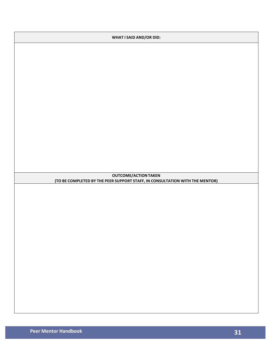| <b>WHAT I SAID AND/OR DID:</b>                                                                              |  |  |
|-------------------------------------------------------------------------------------------------------------|--|--|
|                                                                                                             |  |  |
|                                                                                                             |  |  |
|                                                                                                             |  |  |
|                                                                                                             |  |  |
|                                                                                                             |  |  |
|                                                                                                             |  |  |
|                                                                                                             |  |  |
|                                                                                                             |  |  |
|                                                                                                             |  |  |
|                                                                                                             |  |  |
|                                                                                                             |  |  |
|                                                                                                             |  |  |
| <b>OUTCOME/ACTION TAKEN</b><br>(TO BE COMPLETED BY THE PEER SUPPORT STAFF, IN CONSULTATION WITH THE MENTOR) |  |  |
|                                                                                                             |  |  |
|                                                                                                             |  |  |
|                                                                                                             |  |  |
|                                                                                                             |  |  |
|                                                                                                             |  |  |
|                                                                                                             |  |  |
|                                                                                                             |  |  |
|                                                                                                             |  |  |
|                                                                                                             |  |  |
|                                                                                                             |  |  |
|                                                                                                             |  |  |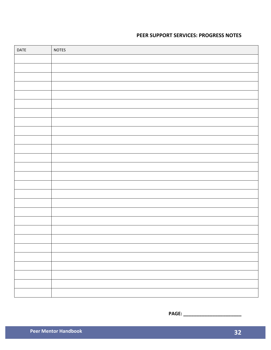## **PEER SUPPORT SERVICES: PROGRESS NOTES**

| DATE | NOTES |
|------|-------|
|      |       |
|      |       |
|      |       |
|      |       |
|      |       |
|      |       |
|      |       |
|      |       |
|      |       |
|      |       |
|      |       |
|      |       |
|      |       |
|      |       |
|      |       |
|      |       |
|      |       |
|      |       |
|      |       |
|      |       |
|      |       |
|      |       |
|      |       |
|      |       |
|      |       |
|      |       |
|      |       |

**PAGE: \_\_\_\_\_\_\_\_\_\_\_\_\_\_\_\_\_\_\_\_\_\_**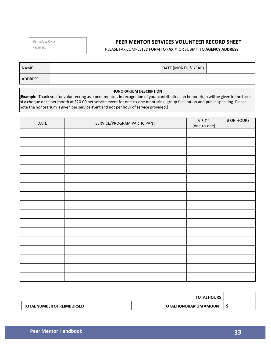OFFICE USE ONLY

RECEIVED:

## **PEER MENTOR SERVICES VOLUNTEER RECORD SHEET**

#### PLEASE FAX COMPLETED FORM TO**FAX #** OR SUBMIT TO **AGENCY ADDRESS**

| <b>NAME</b>    | DATE (MONTH & YEAR) |  |
|----------------|---------------------|--|
| <b>ADDRESS</b> |                     |  |

#### **HONORARIUM DESCRIPTION**

[Example: Thank you for volunteering as a peer mentor. In recognition of your contribution, an honorarium will be given in the form of a cheque once per month at \$20.00 per service event for one-to-one mentoring, group facilitation and public speaking. Please  $\vert$  note the honorarium is given per service event and not per hour of service provided.]

| DATE | SERVICE/PROGRAM PARTICIPANT | VISIT#<br>(one-to-one) | # OF HOURS |
|------|-----------------------------|------------------------|------------|
|      |                             |                        |            |
|      |                             |                        |            |
|      |                             |                        |            |
|      |                             |                        |            |
|      |                             |                        |            |
|      |                             |                        |            |
|      |                             |                        |            |
|      |                             |                        |            |
|      |                             |                        |            |
|      |                             |                        |            |
|      |                             |                        |            |
|      |                             |                        |            |
|      |                             |                        |            |
|      |                             |                        |            |
|      |                             |                        |            |
|      |                             |                        |            |
|      |                             |                        |            |

| <b>TOTALHOURS</b>             |  |
|-------------------------------|--|
| <b>TOTALHONORARIUM AMOUNT</b> |  |

**TOTALNUMBEROFREIMBURSED**

**SERVICES**